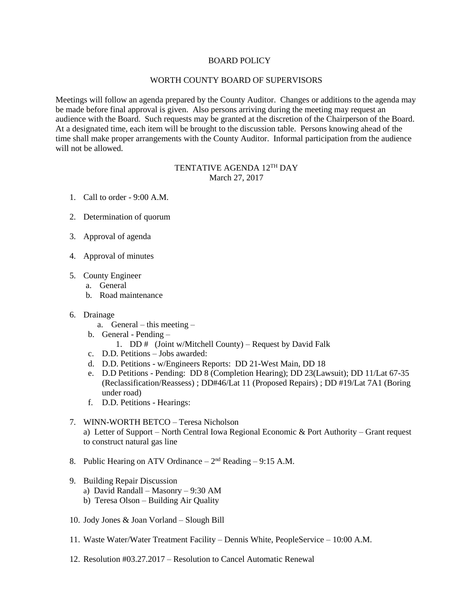## BOARD POLICY

## WORTH COUNTY BOARD OF SUPERVISORS

Meetings will follow an agenda prepared by the County Auditor. Changes or additions to the agenda may be made before final approval is given. Also persons arriving during the meeting may request an audience with the Board. Such requests may be granted at the discretion of the Chairperson of the Board. At a designated time, each item will be brought to the discussion table. Persons knowing ahead of the time shall make proper arrangements with the County Auditor. Informal participation from the audience will not be allowed.

## TENTATIVE AGENDA 12<sup>th</sup> DAY March 27, 2017

- 1. Call to order 9:00 A.M.
- 2. Determination of quorum
- 3. Approval of agenda
- 4. Approval of minutes
- 5. County Engineer
	- a. General
	- b. Road maintenance
- 6. Drainage
	- a. General this meeting –
	- b. General Pending
		- 1. DD  $#$  (Joint w/Mitchell County) Request by David Falk
	- c. D.D. Petitions Jobs awarded:
	- d. D.D. Petitions w/Engineers Reports: DD 21-West Main, DD 18
	- e. D.D Petitions Pending: DD 8 (Completion Hearing); DD 23(Lawsuit); DD 11/Lat 67-35 (Reclassification/Reassess) ; DD#46/Lat 11 (Proposed Repairs) ; DD #19/Lat 7A1 (Boring under road)
	- f. D.D. Petitions Hearings:

## 7. WINN-WORTH BETCO – Teresa Nicholson

a) Letter of Support – North Central Iowa Regional Economic & Port Authority – Grant request to construct natural gas line

- 8. Public Hearing on ATV Ordinance  $-2<sup>nd</sup>$  Reading  $-9:15$  A.M.
- 9. Building Repair Discussion
	- a) David Randall Masonry 9:30 AM
	- b) Teresa Olson Building Air Quality
- 10. Jody Jones & Joan Vorland Slough Bill
- 11. Waste Water/Water Treatment Facility Dennis White, PeopleService 10:00 A.M.
- 12. Resolution #03.27.2017 Resolution to Cancel Automatic Renewal